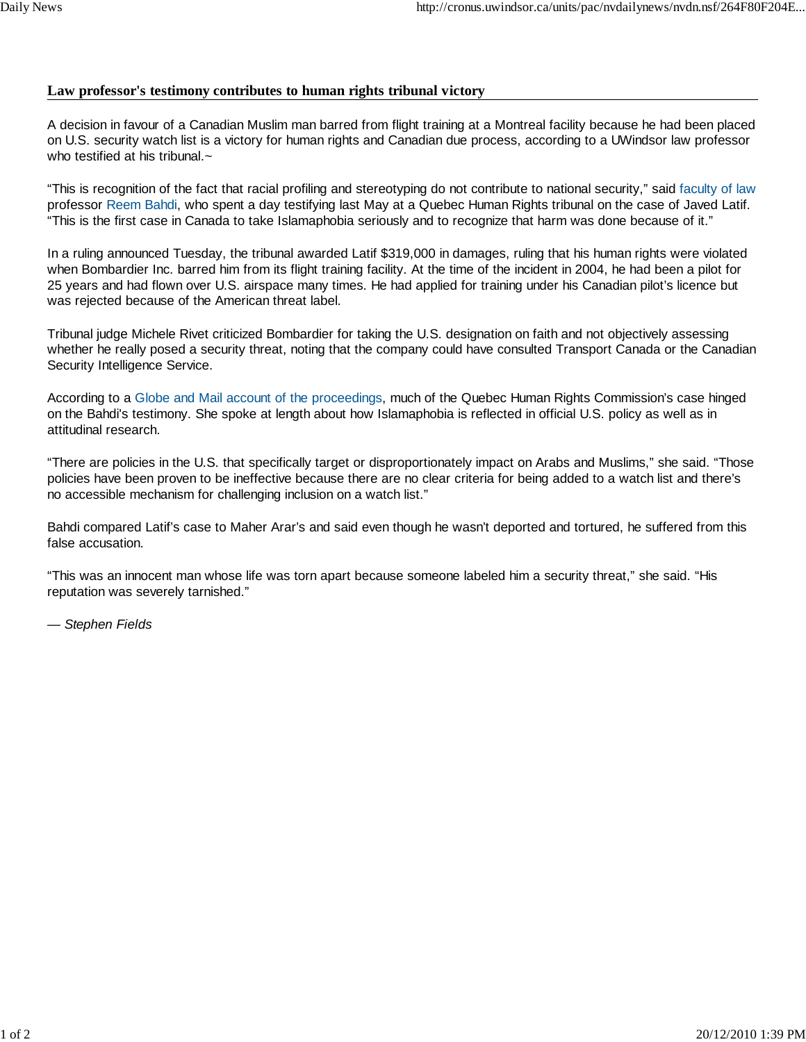## **Law professor's testimony contributes to human rights tribunal victory**

A decision in favour of a Canadian Muslim man barred from flight training at a Montreal facility because he had been placed on U.S. security watch list is a victory for human rights and Canadian due process, according to a UWindsor law professor who testified at his tribunal. $\sim$ 

"This is recognition of the fact that racial profiling and stereotyping do not contribute to national security," said faculty of law professor Reem Bahdi, who spent a day testifying last May at a Quebec Human Rights tribunal on the case of Javed Latif. "This is the first case in Canada to take Islamaphobia seriously and to recognize that harm was done because of it."

In a ruling announced Tuesday, the tribunal awarded Latif \$319,000 in damages, ruling that his human rights were violated when Bombardier Inc. barred him from its flight training facility. At the time of the incident in 2004, he had been a pilot for 25 years and had flown over U.S. airspace many times. He had applied for training under his Canadian pilot's licence but was rejected because of the American threat label.

Tribunal judge Michele Rivet criticized Bombardier for taking the U.S. designation on faith and not objectively assessing whether he really posed a security threat, noting that the company could have consulted Transport Canada or the Canadian Security Intelligence Service.

According to a Globe and Mail account of the proceedings, much of the Quebec Human Rights Commission's case hinged on the Bahdi's testimony. She spoke at length about how Islamaphobia is reflected in official U.S. policy as well as in attitudinal research.

"There are policies in the U.S. that specifically target or disproportionately impact on Arabs and Muslims," she said. "Those policies have been proven to be ineffective because there are no clear criteria for being added to a watch list and there's no accessible mechanism for challenging inclusion on a watch list."

Bahdi compared Latif's case to Maher Arar's and said even though he wasn't deported and tortured, he suffered from this false accusation.

"This was an innocent man whose life was torn apart because someone labeled him a security threat," she said. "His reputation was severely tarnished."

*— Stephen Fields*